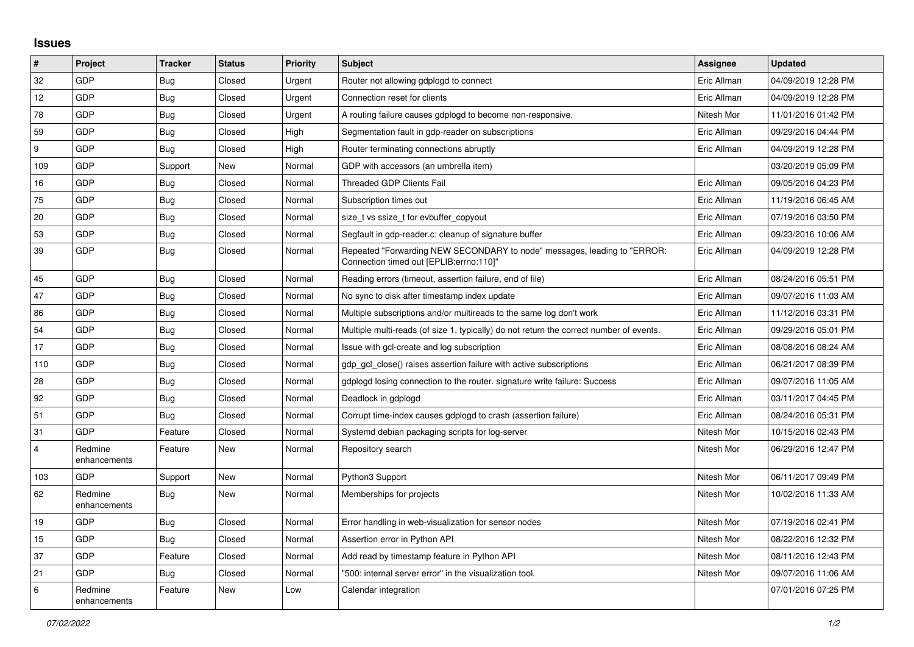## **Issues**

| $\vert$ #      | Project                 | <b>Tracker</b> | <b>Status</b> | <b>Priority</b> | <b>Subject</b>                                                                                                      | <b>Assignee</b> | <b>Updated</b>      |
|----------------|-------------------------|----------------|---------------|-----------------|---------------------------------------------------------------------------------------------------------------------|-----------------|---------------------|
| 32             | GDP                     | <b>Bug</b>     | Closed        | Urgent          | Router not allowing gdplogd to connect                                                                              | Eric Allman     | 04/09/2019 12:28 PM |
| 12             | GDP                     | Bug            | Closed        | Urgent          | Connection reset for clients                                                                                        | Eric Allman     | 04/09/2019 12:28 PM |
| 78             | <b>GDP</b>              | <b>Bug</b>     | Closed        | Urgent          | A routing failure causes gdplogd to become non-responsive.                                                          | Nitesh Mor      | 11/01/2016 01:42 PM |
| 59             | GDP                     | Bug            | Closed        | High            | Segmentation fault in gdp-reader on subscriptions                                                                   | Eric Allman     | 09/29/2016 04:44 PM |
| 9              | GDP                     | <b>Bug</b>     | Closed        | High            | Router terminating connections abruptly                                                                             | Eric Allman     | 04/09/2019 12:28 PM |
| 109            | GDP                     | Support        | New           | Normal          | GDP with accessors (an umbrella item)                                                                               |                 | 03/20/2019 05:09 PM |
| 16             | <b>GDP</b>              | <b>Bug</b>     | Closed        | Normal          | <b>Threaded GDP Clients Fail</b>                                                                                    | Eric Allman     | 09/05/2016 04:23 PM |
| 75             | <b>GDP</b>              | <b>Bug</b>     | Closed        | Normal          | Subscription times out                                                                                              | Eric Allman     | 11/19/2016 06:45 AM |
| 20             | GDP                     | Bug            | Closed        | Normal          | size t vs ssize t for evbuffer copyout                                                                              | Eric Allman     | 07/19/2016 03:50 PM |
| 53             | <b>GDP</b>              | Bug            | Closed        | Normal          | Segfault in gdp-reader.c; cleanup of signature buffer                                                               | Eric Allman     | 09/23/2016 10:06 AM |
| 39             | GDP                     | <b>Bug</b>     | Closed        | Normal          | Repeated "Forwarding NEW SECONDARY to node" messages, leading to "ERROR:<br>Connection timed out [EPLIB:errno:110]" | Eric Allman     | 04/09/2019 12:28 PM |
| 45             | <b>GDP</b>              | <b>Bug</b>     | Closed        | Normal          | Reading errors (timeout, assertion failure, end of file)                                                            | Eric Allman     | 08/24/2016 05:51 PM |
| 47             | GDP                     | <b>Bug</b>     | Closed        | Normal          | No sync to disk after timestamp index update                                                                        | Eric Allman     | 09/07/2016 11:03 AM |
| 86             | GDP                     | Bug            | Closed        | Normal          | Multiple subscriptions and/or multireads to the same log don't work                                                 | Eric Allman     | 11/12/2016 03:31 PM |
| 54             | <b>GDP</b>              | Bug            | Closed        | Normal          | Multiple multi-reads (of size 1, typically) do not return the correct number of events.                             | Eric Allman     | 09/29/2016 05:01 PM |
| 17             | GDP                     | <b>Bug</b>     | Closed        | Normal          | Issue with gcl-create and log subscription                                                                          | Eric Allman     | 08/08/2016 08:24 AM |
| 110            | GDP                     | Bug            | Closed        | Normal          | gdp gcl close() raises assertion failure with active subscriptions                                                  | Eric Allman     | 06/21/2017 08:39 PM |
| 28             | <b>GDP</b>              | <b>Bug</b>     | Closed        | Normal          | gdplogd losing connection to the router, signature write failure: Success                                           | Eric Allman     | 09/07/2016 11:05 AM |
| 92             | GDP                     | <b>Bug</b>     | Closed        | Normal          | Deadlock in gdplogd                                                                                                 | Eric Allman     | 03/11/2017 04:45 PM |
| 51             | GDP                     | <b>Bug</b>     | Closed        | Normal          | Corrupt time-index causes gdplogd to crash (assertion failure)                                                      | Eric Allman     | 08/24/2016 05:31 PM |
| 31             | <b>GDP</b>              | Feature        | Closed        | Normal          | Systemd debian packaging scripts for log-server                                                                     | Nitesh Mor      | 10/15/2016 02:43 PM |
| $\overline{4}$ | Redmine<br>enhancements | Feature        | New           | Normal          | Repository search                                                                                                   | Nitesh Mor      | 06/29/2016 12:47 PM |
| 103            | <b>GDP</b>              | Support        | New           | Normal          | Python3 Support                                                                                                     | Nitesh Mor      | 06/11/2017 09:49 PM |
| 62             | Redmine<br>enhancements | Bug            | New           | Normal          | Memberships for projects                                                                                            | Nitesh Mor      | 10/02/2016 11:33 AM |
| 19             | GDP                     | Bug            | Closed        | Normal          | Error handling in web-visualization for sensor nodes                                                                | Nitesh Mor      | 07/19/2016 02:41 PM |
| 15             | <b>GDP</b>              | <b>Bug</b>     | Closed        | Normal          | Assertion error in Python API                                                                                       | Nitesh Mor      | 08/22/2016 12:32 PM |
| 37             | GDP                     | Feature        | Closed        | Normal          | Add read by timestamp feature in Python API                                                                         | Nitesh Mor      | 08/11/2016 12:43 PM |
| 21             | <b>GDP</b>              | Bug            | Closed        | Normal          | "500: internal server error" in the visualization tool.                                                             | Nitesh Mor      | 09/07/2016 11:06 AM |
| 6              | Redmine<br>enhancements | Feature        | New           | Low             | Calendar integration                                                                                                |                 | 07/01/2016 07:25 PM |